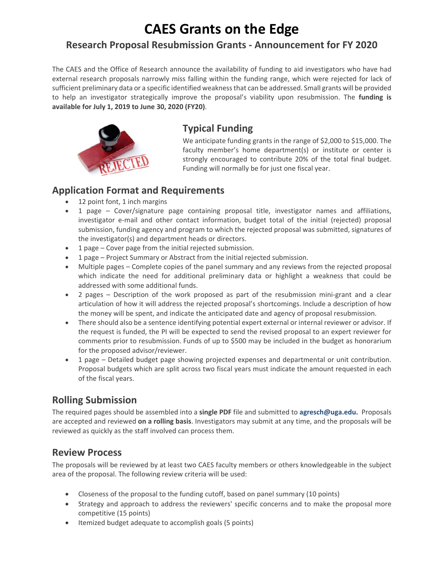# **CAES Grants on the Edge**

### **Research Proposal Resubmission Grants ‐ Announcement for FY 2020**

The CAES and the Office of Research announce the availability of funding to aid investigators who have had external research proposals narrowly miss falling within the funding range, which were rejected for lack of sufficient preliminary data or a specific identified weakness that can be addressed. Small grants will be provided to help an investigator strategically improve the proposal's viability upon resubmission. The **funding is available for July 1, 2019 to June 30, 2020 (FY20)**.



#### **Typical Funding**

We anticipate funding grants in the range of \$2,000 to \$15,000. The faculty member's home department(s) or institute or center is strongly encouraged to contribute 20% of the total final budget. Funding will normally be for just one fiscal year.

#### **Application Format and Requirements**

- 12 point font, 1 inch margins
- 1 page Cover/signature page containing proposal title, investigator names and affiliations, investigator e-mail and other contact information, budget total of the initial (rejected) proposal submission, funding agency and program to which the rejected proposal was submitted, signatures of the investigator(s) and department heads or directors.
- 1 page Cover page from the initial rejected submission.
- 1 page Project Summary or Abstract from the initial rejected submission.
- Multiple pages Complete copies of the panel summary and any reviews from the rejected proposal which indicate the need for additional preliminary data or highlight a weakness that could be addressed with some additional funds.
- 2 pages Description of the work proposed as part of the resubmission mini-grant and a clear articulation of how it will address the rejected proposal's shortcomings. Include a description of how the money will be spent, and indicate the anticipated date and agency of proposal resubmission.
- There should also be a sentence identifying potential expert external or internal reviewer or advisor. If the request is funded, the PI will be expected to send the revised proposal to an expert reviewer for comments prior to resubmission. Funds of up to \$500 may be included in the budget as honorarium for the proposed advisor/reviewer.
- 1 page Detailed budget page showing projected expenses and departmental or unit contribution. Proposal budgets which are split across two fiscal years must indicate the amount requested in each of the fiscal years.

### **Rolling Submission**

The required pages should be assembled into a **single PDF** file and submitted to **agresch@uga.edu.** Proposals are accepted and reviewed **on a rolling basis**. Investigators may submit at any time, and the proposals will be reviewed as quickly as the staff involved can process them.

#### **Review Process**

The proposals will be reviewed by at least two CAES faculty members or others knowledgeable in the subject area of the proposal. The following review criteria will be used:

- Closeness of the proposal to the funding cutoff, based on panel summary (10 points)
- Strategy and approach to address the reviewers' specific concerns and to make the proposal more competitive (15 points)
- Itemized budget adequate to accomplish goals (5 points)